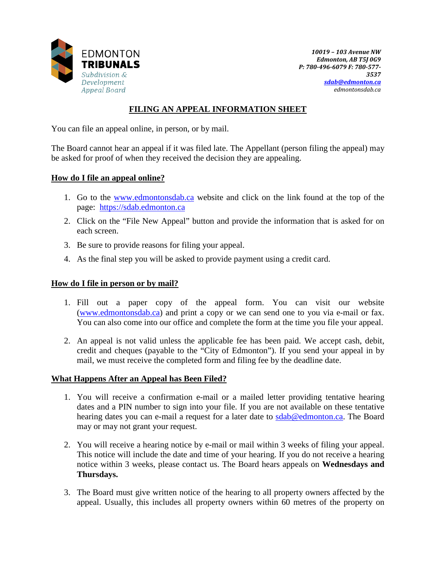

*10019 – 103 Avenue NW Edmonton, AB T5J 0G9 P: 780-496-6079 F: 780-577- 3537 [sdab@edmonton.ca](mailto:sdab@edmonton.ca) edmontonsdab.ca*

## **FILING AN APPEAL INFORMATION SHEET**

You can file an appeal online, in person, or by mail.

The Board cannot hear an appeal if it was filed late. The Appellant (person filing the appeal) may be asked for proof of when they received the decision they are appealing.

## **How do I file an appeal online?**

- 1. Go to the [www.edmontonsdab.ca](http://www.edmontonsdab.ca/) website and click on the link found at the top of the page: [https://sdab.edmonton.ca](https://sdab.edmonton.ca/)
- 2. Click on the "File New Appeal" button and provide the information that is asked for on each screen.
- 3. Be sure to provide reasons for filing your appeal.
- 4. As the final step you will be asked to provide payment using a credit card.

## **How do I file in person or by mail?**

- 1. Fill out a paper copy of the appeal form. You can visit our website [\(www.edmontonsdab.ca\)](http://www.edmontonsdab.ca/) and print a copy or we can send one to you via e-mail or fax. You can also come into our office and complete the form at the time you file your appeal.
- 2. An appeal is not valid unless the applicable fee has been paid. We accept cash, debit, credit and cheques (payable to the "City of Edmonton"). If you send your appeal in by mail, we must receive the completed form and filing fee by the deadline date.

## **What Happens After an Appeal has Been Filed?**

- 1. You will receive a confirmation e-mail or a mailed letter providing tentative hearing dates and a PIN number to sign into your file. If you are not available on these tentative hearing dates you can e-mail a request for a later date to [sdab@edmonton.ca.](mailto:sdab@edmonton.ca) The Board may or may not grant your request.
- 2. You will receive a hearing notice by e-mail or mail within 3 weeks of filing your appeal. This notice will include the date and time of your hearing. If you do not receive a hearing notice within 3 weeks, please contact us. The Board hears appeals on **Wednesdays and Thursdays.**
- 3. The Board must give written notice of the hearing to all property owners affected by the appeal. Usually, this includes all property owners within 60 metres of the property on